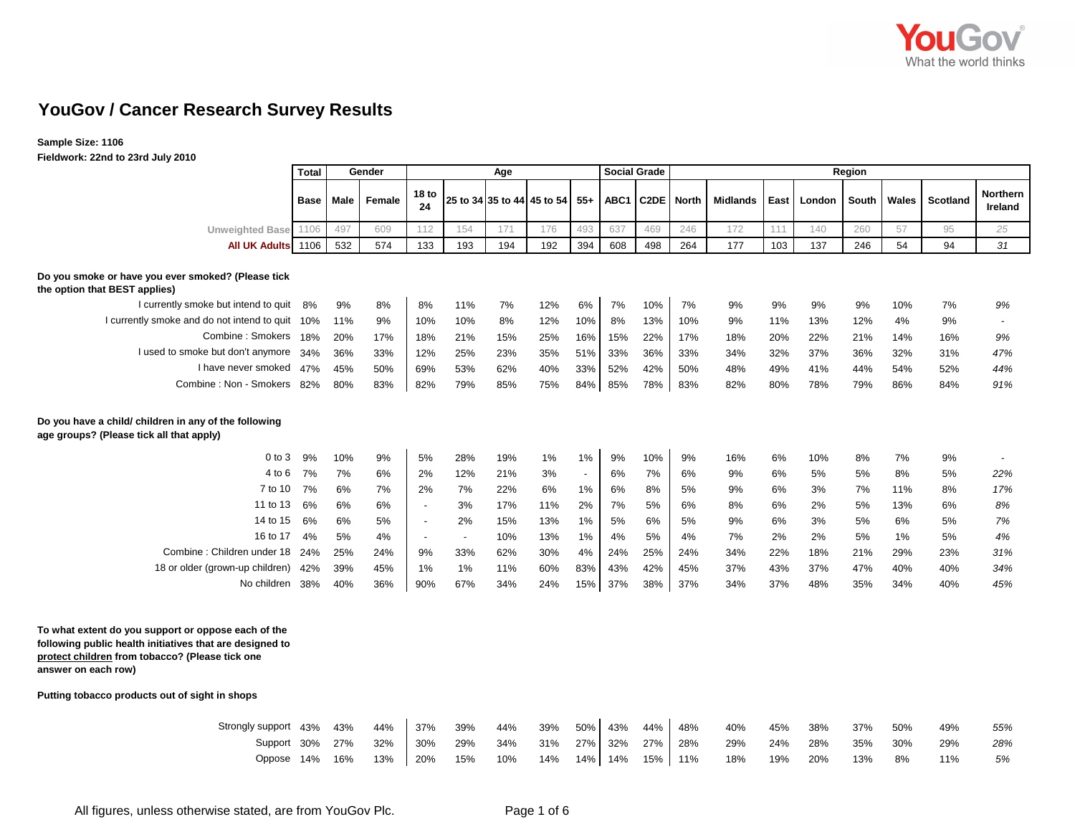

## **YouGov / Cancer Research Survey Results**

**Sample Size: 1106**

**Fieldwork: 22nd to 23rd July 2010**

|                                                                                                                                                                                           | <b>Total</b> | Gender<br>Age |        |                          |                          |     |                                |                          | <b>Social Grade</b> | Region            |              |                 |      |        |       |       |                 |                     |
|-------------------------------------------------------------------------------------------------------------------------------------------------------------------------------------------|--------------|---------------|--------|--------------------------|--------------------------|-----|--------------------------------|--------------------------|---------------------|-------------------|--------------|-----------------|------|--------|-------|-------|-----------------|---------------------|
|                                                                                                                                                                                           | <b>Base</b>  | Male          | Female | 18 <sub>to</sub><br>24   |                          |     | 25 to 34 35 to 44 45 to 54 55+ |                          | ABC1                | C <sub>2</sub> DE | <b>North</b> | <b>Midlands</b> | East | London | South | Wales | <b>Scotland</b> | Northern<br>Ireland |
| Unweighted Base 1106                                                                                                                                                                      |              | 497           | 609    | 112                      | 154                      | 171 | 176                            | 493                      | 637                 | 469               | 246          | 172             | 111  | 140    | 260   | 57    | 95              | 25                  |
| All UK Adults 1106                                                                                                                                                                        |              | 532           | 574    | 133                      | 193                      | 194 | 192                            | 394                      | 608                 | 498               | 264          | 177             | 103  | 137    | 246   | 54    | 94              | 31                  |
| Do you smoke or have you ever smoked? (Please tick<br>the option that BEST applies)                                                                                                       |              |               |        |                          |                          |     |                                |                          |                     |                   |              |                 |      |        |       |       |                 |                     |
| I currently smoke but intend to quit                                                                                                                                                      | 8%           | 9%            | 8%     | 8%                       | 11%                      | 7%  | 12%                            | 6%                       | 7%                  | 10%               | 7%           | 9%              | 9%   | 9%     | 9%    | 10%   | 7%              | 9%                  |
| I currently smoke and do not intend to quit 10%                                                                                                                                           |              | 11%           | 9%     | 10%                      | 10%                      | 8%  | 12%                            | 10%                      | 8%                  | 13%               | 10%          | 9%              | 11%  | 13%    | 12%   | 4%    | 9%              |                     |
| Combine: Smokers 18%                                                                                                                                                                      |              | 20%           | 17%    | 18%                      | 21%                      | 15% | 25%                            | 16%                      | 15%                 | 22%               | 17%          | 18%             | 20%  | 22%    | 21%   | 14%   | 16%             | 9%                  |
| I used to smoke but don't anymore                                                                                                                                                         | 34%          | 36%           | 33%    | 12%                      | 25%                      | 23% | 35%                            | 51%                      | 33%                 | 36%               | 33%          | 34%             | 32%  | 37%    | 36%   | 32%   | 31%             | 47%                 |
| I have never smoked                                                                                                                                                                       | 47%          | 45%           | 50%    | 69%                      | 53%                      | 62% | 40%                            | 33%                      | 52%                 | 42%               | 50%          | 48%             | 49%  | 41%    | 44%   | 54%   | 52%             | 44%                 |
| Combine: Non - Smokers 82%                                                                                                                                                                |              | 80%           | 83%    | 82%                      | 79%                      | 85% | 75%                            | 84%                      | 85%                 | 78%               | 83%          | 82%             | 80%  | 78%    | 79%   | 86%   | 84%             | 91%                 |
| Do you have a child/ children in any of the following<br>age groups? (Please tick all that apply)                                                                                         |              |               |        |                          |                          |     |                                |                          |                     |                   |              |                 |      |        |       |       |                 |                     |
| $0$ to $3$                                                                                                                                                                                | 9%           | 10%           | 9%     | 5%                       | 28%                      | 19% | 1%                             | 1%                       | 9%                  | 10%               | 9%           | 16%             | 6%   | 10%    | 8%    | 7%    | 9%              |                     |
| 4 to 6                                                                                                                                                                                    | 7%           | 7%            | 6%     | 2%                       | 12%                      | 21% | 3%                             | $\overline{\phantom{a}}$ | 6%                  | 7%                | 6%           | 9%              | 6%   | 5%     | 5%    | 8%    | 5%              | 22%                 |
| 7 to 10                                                                                                                                                                                   | 7%           | 6%            | 7%     | 2%                       | 7%                       | 22% | 6%                             | 1%                       | 6%                  | 8%                | 5%           | 9%              | 6%   | 3%     | 7%    | 11%   | 8%              | 17%                 |
| 11 to 13                                                                                                                                                                                  | 6%           | 6%            | 6%     | $\overline{a}$           | 3%                       | 17% | 11%                            | 2%                       | 7%                  | 5%                | 6%           | 8%              | 6%   | 2%     | 5%    | 13%   | 6%              | 8%                  |
| 14 to 15                                                                                                                                                                                  | 6%           | 6%            | 5%     | $\overline{\phantom{a}}$ | 2%                       | 15% | 13%                            | 1%                       | 5%                  | 6%                | 5%           | 9%              | 6%   | 3%     | 5%    | 6%    | 5%              | 7%                  |
| 16 to 17                                                                                                                                                                                  | 4%           | 5%            | 4%     | $\overline{\phantom{a}}$ | $\overline{\phantom{a}}$ | 10% | 13%                            | 1%                       | 4%                  | 5%                | 4%           | 7%              | 2%   | 2%     | 5%    | $1\%$ | 5%              | 4%                  |
| Combine: Children under 18 24%                                                                                                                                                            |              | 25%           | 24%    | 9%                       | 33%                      | 62% | 30%                            | 4%                       | 24%                 | 25%               | 24%          | 34%             | 22%  | 18%    | 21%   | 29%   | 23%             | 31%                 |
| 18 or older (grown-up children)                                                                                                                                                           | 42%          | 39%           | 45%    | 1%                       | $1\%$                    | 11% | 60%                            | 83%                      | 43%                 | 42%               | 45%          | 37%             | 43%  | 37%    | 47%   | 40%   | 40%             | 34%                 |
| No children                                                                                                                                                                               | 38%          | 40%           | 36%    | 90%                      | 67%                      | 34% | 24%                            | 15%                      | 37%                 | 38%               | 37%          | 34%             | 37%  | 48%    | 35%   | 34%   | 40%             | 45%                 |
| To what extent do you support or oppose each of the<br>following public health initiatives that are designed to<br>protect children from tobacco? (Please tick one<br>answer on each row) |              |               |        |                          |                          |     |                                |                          |                     |                   |              |                 |      |        |       |       |                 |                     |
| Putting tobacco products out of sight in shops                                                                                                                                            |              |               |        |                          |                          |     |                                |                          |                     |                   |              |                 |      |        |       |       |                 |                     |
| Strongly support 43%                                                                                                                                                                      |              | 43%           | 44%    | 37%                      | 39%                      | 44% | 39%                            | 50%                      | 43%                 | 44%               | 48%          | 40%             | 45%  | 38%    | 37%   | 50%   | 49%             | 55%                 |
| Support 30%                                                                                                                                                                               |              | 27%           | 32%    | 30%                      | 29%                      | 34% | 31%                            | 27%                      | 32%                 | 27%               | 28%          | 29%             | 24%  | 28%    | 35%   | 30%   | 29%             | 28%                 |
| Oppose                                                                                                                                                                                    | 14%          | 16%           | 13%    | 20%                      | 15%                      | 10% | 14%                            | 14%                      | 14%                 | 15%               | 11%          | 18%             | 19%  | 20%    | 13%   | 8%    | 11%             | 5%                  |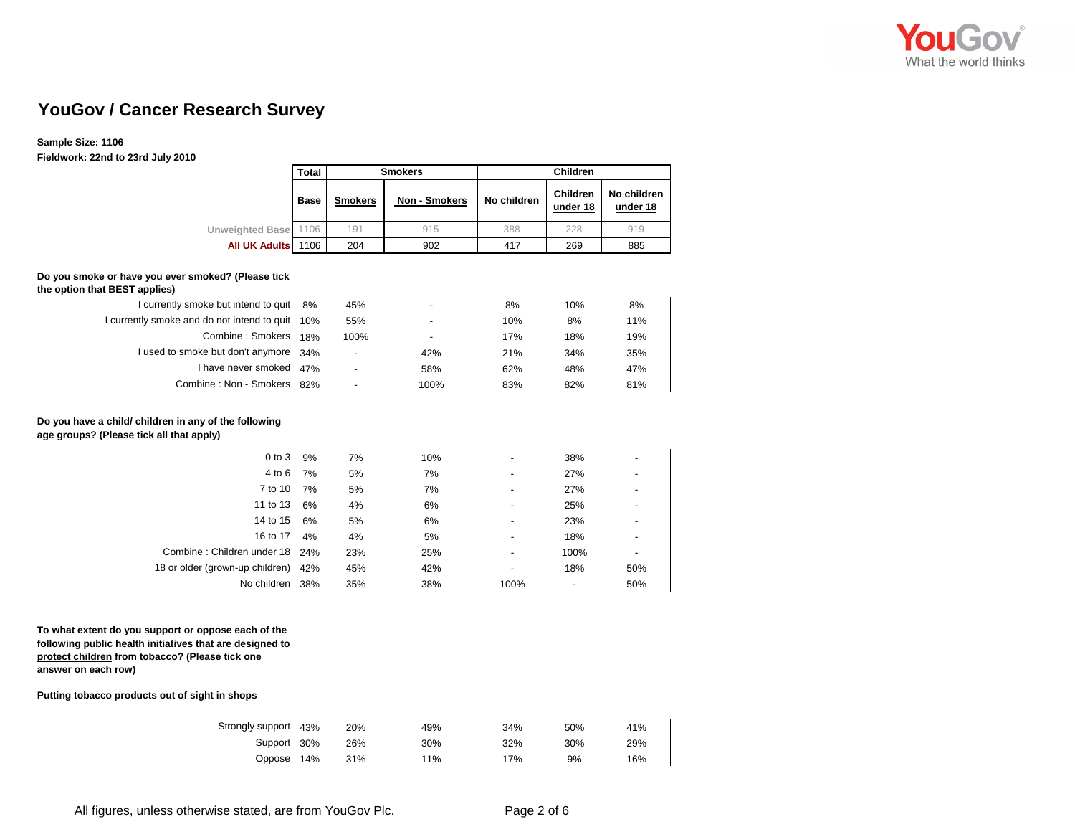

## **YouGov / Cancer Research Survey**

## **Sample Size: 1106**

**Fieldwork: 22nd to 23rd July 2010**

| i itiuwui n. Zzilu lu zai u July zu lu                                                                                                                                                                                                      | <b>Total</b> |                | <b>Smokers</b>           | Children    |                      |                          |  |  |
|---------------------------------------------------------------------------------------------------------------------------------------------------------------------------------------------------------------------------------------------|--------------|----------------|--------------------------|-------------|----------------------|--------------------------|--|--|
|                                                                                                                                                                                                                                             | <b>Base</b>  | <b>Smokers</b> | Non - Smokers            | No children | Children<br>under 18 | No children<br>under 18  |  |  |
| <b>Unweighted Base</b>                                                                                                                                                                                                                      | 1106         | 191            | 915                      | 388         | 228                  | 919                      |  |  |
| <b>All UK Adults</b>                                                                                                                                                                                                                        | 1106         | 204            | 902                      | 417         | 269                  | 885                      |  |  |
| Do you smoke or have you ever smoked? (Please tick<br>the option that BEST applies)                                                                                                                                                         |              |                |                          |             |                      |                          |  |  |
| I currently smoke but intend to quit                                                                                                                                                                                                        | 8%           | 45%            | $\overline{\phantom{a}}$ | 8%          | 10%                  | 8%                       |  |  |
| I currently smoke and do not intend to quit                                                                                                                                                                                                 | 10%          | 55%            |                          | 10%         | 8%                   | 11%                      |  |  |
| Combine: Smokers                                                                                                                                                                                                                            | 18%          | 100%           | $\overline{a}$           | 17%         | 18%                  | 19%                      |  |  |
| I used to smoke but don't anymore                                                                                                                                                                                                           | 34%          | $\overline{a}$ | 42%                      | 21%         | 34%                  | 35%                      |  |  |
| I have never smoked                                                                                                                                                                                                                         | 47%          |                | 58%                      | 62%         | 48%                  | 47%                      |  |  |
| Combine: Non - Smokers 82%                                                                                                                                                                                                                  |              | $\overline{a}$ | 100%                     | 83%         | 82%                  | 81%                      |  |  |
| Do you have a child/ children in any of the following<br>age groups? (Please tick all that apply)                                                                                                                                           |              |                |                          |             |                      |                          |  |  |
| $0$ to $3$                                                                                                                                                                                                                                  | 9%           | 7%             | 10%                      |             | 38%                  |                          |  |  |
| $4$ to $6$                                                                                                                                                                                                                                  | 7%           | 5%             | 7%                       |             | 27%                  |                          |  |  |
| 7 to 10                                                                                                                                                                                                                                     | 7%           | 5%             | 7%                       |             | 27%                  |                          |  |  |
| 11 to 13                                                                                                                                                                                                                                    | 6%           | 4%             | 6%                       |             | 25%                  |                          |  |  |
| 14 to 15                                                                                                                                                                                                                                    | 6%           | 5%             | 6%                       |             | 23%                  |                          |  |  |
| 16 to 17                                                                                                                                                                                                                                    | 4%           | 4%             | 5%                       |             | 18%                  | $\overline{a}$           |  |  |
| Combine: Children under 18                                                                                                                                                                                                                  | 24%          | 23%            | 25%                      |             | 100%                 | $\overline{\phantom{a}}$ |  |  |
| 18 or older (grown-up children)                                                                                                                                                                                                             | 42%          | 45%            | 42%                      | ÷,          | 18%                  | 50%                      |  |  |
| No children 38%                                                                                                                                                                                                                             |              | 35%            | 38%                      | 100%        |                      | 50%                      |  |  |
| To what extent do you support or oppose each of the<br>following public health initiatives that are designed to<br>protect children from tobacco? (Please tick one<br>answer on each row)<br>Putting tobacco products out of sight in shops |              |                |                          |             |                      |                          |  |  |
| Strongly support 43%                                                                                                                                                                                                                        |              | 20%            | 49%                      | 34%         | 50%                  | 41%                      |  |  |
| Support 30%                                                                                                                                                                                                                                 |              | 26%            | 30%                      | 32%         | 30%                  | 29%                      |  |  |

All figures, unless otherwise stated, are from YouGov Plc. Page 2 of 6

Oppose 14%

31%

11% 17% 9% 16%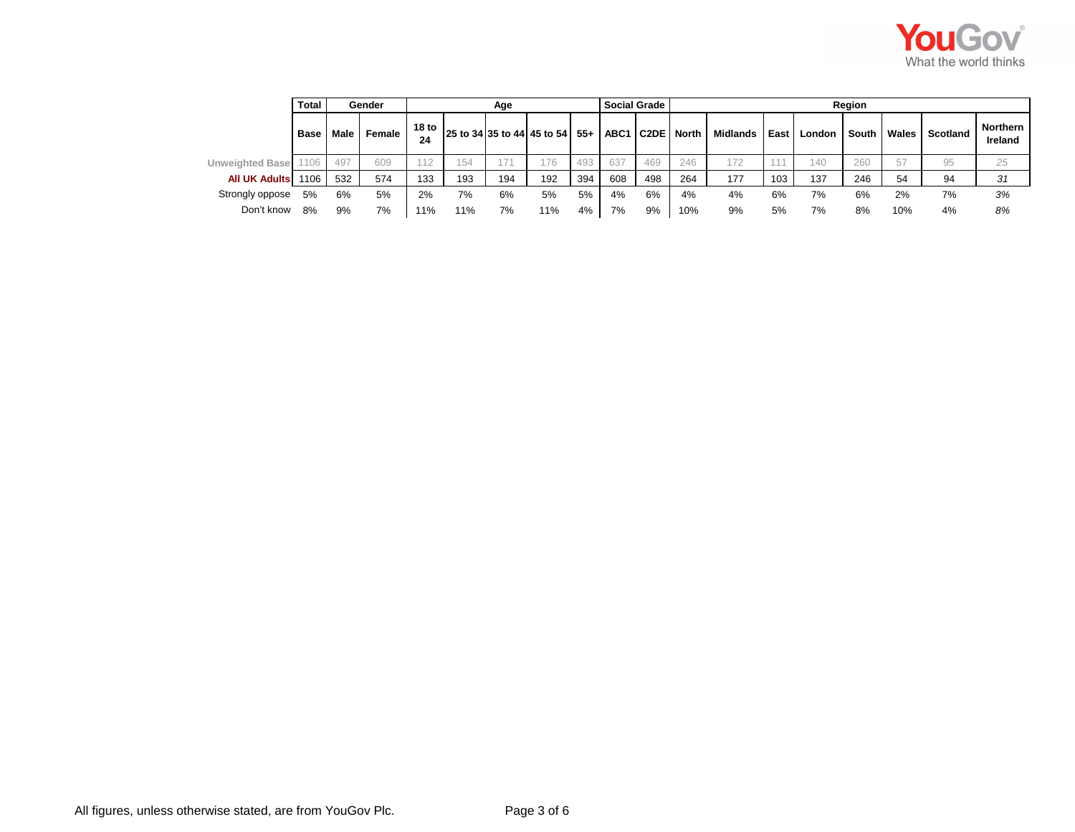

|                        | Total       |      | Gender |                        |     | Age |                                                |     |     | Social Grade | Region |          |      |        |       |       |          |                     |  |
|------------------------|-------------|------|--------|------------------------|-----|-----|------------------------------------------------|-----|-----|--------------|--------|----------|------|--------|-------|-------|----------|---------------------|--|
|                        | <b>Base</b> | Male | Female | 18 <sub>to</sub><br>24 |     |     | 25 to 34 35 to 44 45 to 54 55+ ABC1 C2DE North |     |     |              |        | Midlands | East | London | South | Wales | Scotland | Northern<br>Ireland |  |
| <b>Unweighted Base</b> |             | 497  | 609    | 112                    | 154 | 71  | 176                                            | 493 | 637 | 469          | 246    | 172      | 444  | 140    | 260   | 57    | 95       | 25                  |  |
| <b>All UK Adults</b>   | 1106        | 532  | 574    | 133                    | 193 | 194 | 192                                            | 394 | 608 | 498          | 264    | 177      | 103  | 137    | 246   | 54    | 94       | 31                  |  |
| Strongly oppose        | 5%          | 6%   | 5%     | 2%                     | 7%  | 6%  | 5%                                             | 5%  | 4%  | 6%           | 4%     | 4%       | 6%   | 7%     | 6%    | 2%    | 7%       | 3%                  |  |
| Don't know             | 8%          | 9%   | 7%     | 11%                    | 11% | 7%  | 11%                                            | 4%  | 7%  | 9%           | 10%    | 9%       | 5%   | 7%     | 8%    | 10%   | 4%       | 8%                  |  |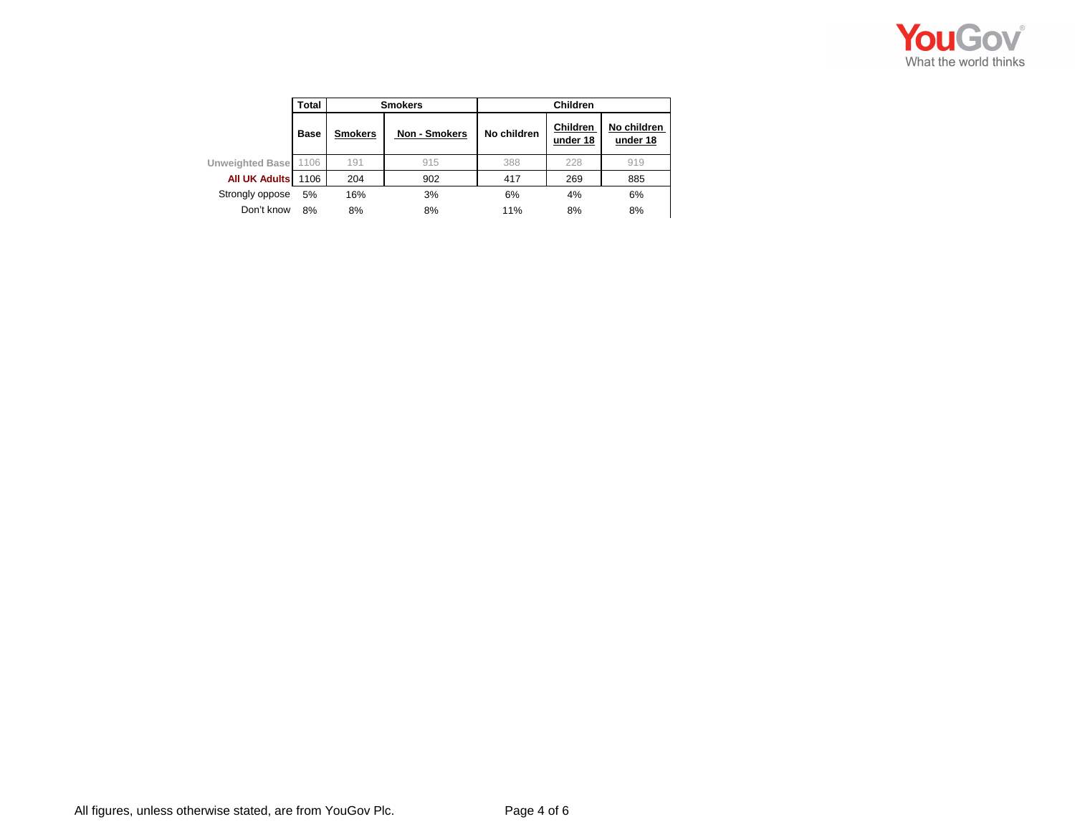

|                        | Total       |                | <b>Smokers</b>       | <b>Children</b> |                             |                         |  |  |  |  |
|------------------------|-------------|----------------|----------------------|-----------------|-----------------------------|-------------------------|--|--|--|--|
|                        | <b>Base</b> | <b>Smokers</b> | <b>Non - Smokers</b> | No children     | <b>Children</b><br>under 18 | No children<br>under 18 |  |  |  |  |
| <b>Unweighted Base</b> | 1106        | 191            | 915                  | 388             | 228                         | 919                     |  |  |  |  |
| <b>All UK Adults</b>   | 1106        | 204            | 902                  | 417             | 269                         | 885                     |  |  |  |  |
| Strongly oppose        | 5%          | 16%            | 3%                   | 6%              | 4%                          | 6%                      |  |  |  |  |
| Don't know             | 8%          | 8%             | 8%                   | 11%             | 8%                          | 8%                      |  |  |  |  |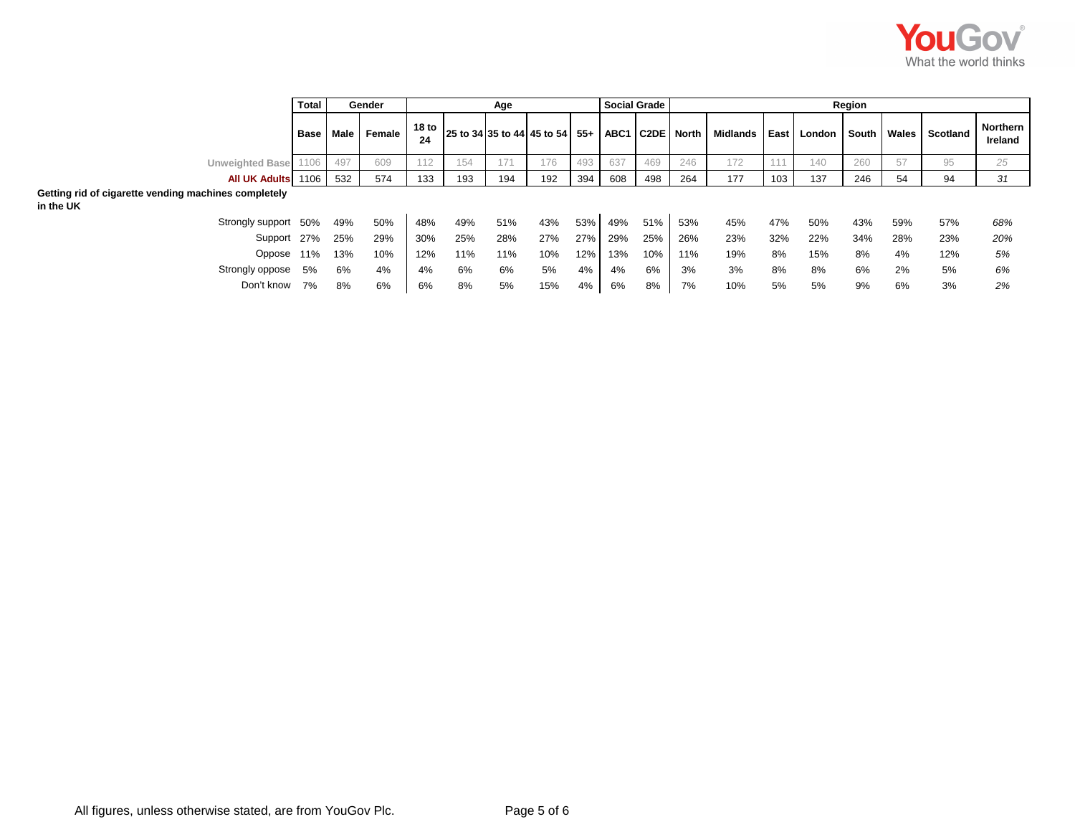

|                                                                   | <b>Total</b> |     | Gender | Age |     |     |                                                                                        |     | <b>Social Grade</b><br>Region |     |     |          |        |        |       |     |                |                            |
|-------------------------------------------------------------------|--------------|-----|--------|-----|-----|-----|----------------------------------------------------------------------------------------|-----|-------------------------------|-----|-----|----------|--------|--------|-------|-----|----------------|----------------------------|
|                                                                   | Base Male    |     | Female |     |     |     | $\frac{18 \text{ to}}{21 \text{ to}}$ 25 to 34 35 to 44 45 to 54 55+ ABC1 C2DE North I |     |                               |     |     | Midlands | East I | London | South |     | Wales Scotland | <b>Northern</b><br>Ireland |
| <b>Unweighted Base</b>                                            | 1106         | 497 | 609    | 112 | 154 | 171 | 176                                                                                    | 493 | 637                           | 469 | 246 | 172      |        | 140    | 260   | 57  | 95             | 25                         |
| All UK Adults 1106                                                |              | 532 | 574    | 133 | 193 | 194 | 192                                                                                    | 394 | 608                           | 498 | 264 | 177      | 103    | 137    | 246   | 54  | 94             | 31                         |
| Getting rid of cigarette vending machines completely<br>in the UK |              |     |        |     |     |     |                                                                                        |     |                               |     |     |          |        |        |       |     |                |                            |
| Strongly support 50%                                              |              | 49% | 50%    | 48% | 49% | 51% | 43%                                                                                    | 53% | 49%                           | 51% | 53% | 45%      | 47%    | 50%    | 43%   | 59% | 57%            | 68%                        |
| Support 27%                                                       |              | 25% | 29%    | 30% | 25% | 28% | 27%                                                                                    | 27% | 29%                           | 25% | 26% | 23%      | 32%    | 22%    | 34%   | 28% | 23%            | 20%                        |
| Oppose 11%                                                        |              | 13% | 10%    | 12% | 11% | 11% | 10%                                                                                    | 12% | 13%                           | 10% | 11% | 19%      | 8%     | 15%    | 8%    | 4%  | 12%            | 5%                         |
| Strongly oppose 5%                                                |              | 6%  | 4%     | 4%  | 6%  | 6%  | 5%                                                                                     | 4%  | 4%                            | 6%  | 3%  | 3%       | 8%     | 8%     | 6%    | 2%  | 5%             | 6%                         |
| Don't know 7%                                                     |              | 8%  | 6%     | 6%  | 8%  | 5%  | 15%                                                                                    | 4%  | 6%                            | 8%  | 7%  | 10%      | 5%     | 5%     | 9%    | 6%  | 3%             | 2%                         |